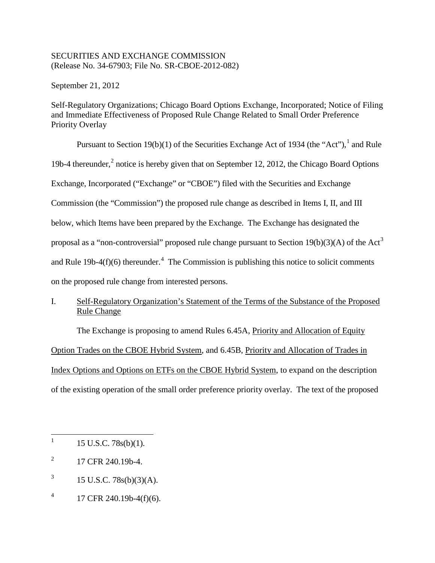## SECURITIES AND EXCHANGE COMMISSION (Release No. 34-67903; File No. SR-CBOE-2012-082)

September 21, 2012

Self-Regulatory Organizations; Chicago Board Options Exchange, Incorporated; Notice of Filing and Immediate Effectiveness of Proposed Rule Change Related to Small Order Preference Priority Overlay

Pursuant to Section [1](#page-0-0)9(b)(1) of the Securities Exchange Act of 1934 (the "Act"),  $\frac{1}{1}$  and Rule 19b-4 thereunder, $<sup>2</sup>$  $<sup>2</sup>$  $<sup>2</sup>$  notice is hereby given that on September 12, 2012, the Chicago Board Options</sup> Exchange, Incorporated ("Exchange" or "CBOE") filed with the Securities and Exchange Commission (the "Commission") the proposed rule change as described in Items I, II, and III below, which Items have been prepared by the Exchange. The Exchange has designated the proposal as a "non-controversial" proposed rule change pursuant to Section  $19(b)(3)(A)$  $19(b)(3)(A)$  $19(b)(3)(A)$  of the Act<sup>3</sup> and Rule 19b-[4](#page-0-3) $(f)(6)$  thereunder.<sup>4</sup> The Commission is publishing this notice to solicit comments on the proposed rule change from interested persons.

# I. Self-Regulatory Organization's Statement of the Terms of the Substance of the Proposed Rule Change

The Exchange is proposing to amend Rules 6.45A, Priority and Allocation of Equity Option Trades on the CBOE Hybrid System, and 6.45B, Priority and Allocation of Trades in Index Options and Options on ETFs on the CBOE Hybrid System, to expand on the description of the existing operation of the small order preference priority overlay. The text of the proposed

- <span id="page-0-2"></span>3 15 U.S.C. 78s(b)(3)(A).
- <span id="page-0-3"></span>4 17 CFR 240.19b-4(f)(6).

<span id="page-0-0"></span> <sup>1</sup> 15 U.S.C. 78s(b)(1).

<span id="page-0-1"></span> $^{2}$  17 CFR 240.19b-4.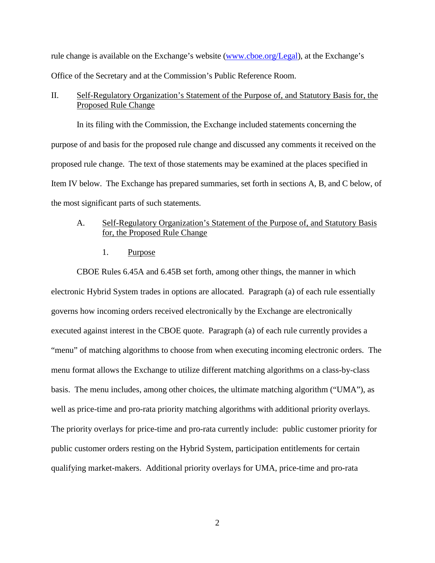rule change is available on the Exchange's website [\(www.cboe.org/Legal\)](http://www.cboe.org/Legal), at the Exchange's Office of the Secretary and at the Commission's Public Reference Room.

## II. Self-Regulatory Organization's Statement of the Purpose of, and Statutory Basis for, the Proposed Rule Change

In its filing with the Commission, the Exchange included statements concerning the purpose of and basis for the proposed rule change and discussed any comments it received on the proposed rule change. The text of those statements may be examined at the places specified in Item IV below. The Exchange has prepared summaries, set forth in sections A, B, and C below, of the most significant parts of such statements.

# A. Self-Regulatory Organization's Statement of the Purpose of, and Statutory Basis for, the Proposed Rule Change

1. Purpose

CBOE Rules 6.45A and 6.45B set forth, among other things, the manner in which electronic Hybrid System trades in options are allocated. Paragraph (a) of each rule essentially governs how incoming orders received electronically by the Exchange are electronically executed against interest in the CBOE quote. Paragraph (a) of each rule currently provides a "menu" of matching algorithms to choose from when executing incoming electronic orders. The menu format allows the Exchange to utilize different matching algorithms on a class-by-class basis. The menu includes, among other choices, the ultimate matching algorithm ("UMA"), as well as price-time and pro-rata priority matching algorithms with additional priority overlays. The priority overlays for price-time and pro-rata currently include: public customer priority for public customer orders resting on the Hybrid System, participation entitlements for certain qualifying market-makers. Additional priority overlays for UMA, price-time and pro-rata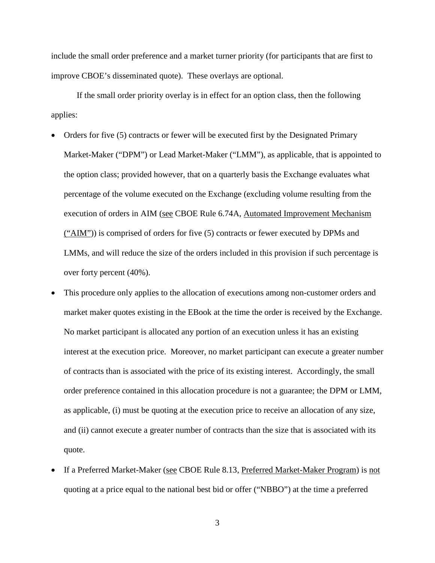include the small order preference and a market turner priority (for participants that are first to improve CBOE's disseminated quote). These overlays are optional.

If the small order priority overlay is in effect for an option class, then the following applies:

- Orders for five (5) contracts or fewer will be executed first by the Designated Primary Market-Maker ("DPM") or Lead Market-Maker ("LMM"), as applicable, that is appointed to the option class; provided however, that on a quarterly basis the Exchange evaluates what percentage of the volume executed on the Exchange (excluding volume resulting from the execution of orders in AIM (see CBOE Rule 6.74A, Automated Improvement Mechanism ("AIM")) is comprised of orders for five (5) contracts or fewer executed by DPMs and LMMs, and will reduce the size of the orders included in this provision if such percentage is over forty percent (40%).
- This procedure only applies to the allocation of executions among non-customer orders and market maker quotes existing in the EBook at the time the order is received by the Exchange. No market participant is allocated any portion of an execution unless it has an existing interest at the execution price. Moreover, no market participant can execute a greater number of contracts than is associated with the price of its existing interest. Accordingly, the small order preference contained in this allocation procedure is not a guarantee; the DPM or LMM, as applicable, (i) must be quoting at the execution price to receive an allocation of any size, and (ii) cannot execute a greater number of contracts than the size that is associated with its quote.
- If a Preferred Market-Maker (see CBOE Rule 8.13, Preferred Market-Maker Program) is not quoting at a price equal to the national best bid or offer ("NBBO") at the time a preferred

3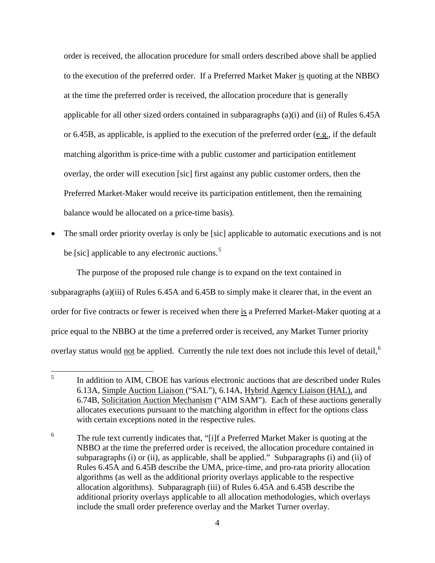order is received, the allocation procedure for small orders described above shall be applied to the execution of the preferred order. If a Preferred Market Maker is quoting at the NBBO at the time the preferred order is received, the allocation procedure that is generally applicable for all other sized orders contained in subparagraphs  $(a)(i)$  and  $(ii)$  of Rules 6.45A or 6.45B, as applicable, is applied to the execution of the preferred order (e.g., if the default matching algorithm is price-time with a public customer and participation entitlement overlay, the order will execution [sic] first against any public customer orders, then the Preferred Market-Maker would receive its participation entitlement, then the remaining balance would be allocated on a price-time basis).

• The small order priority overlay is only be [sic] applicable to automatic executions and is not be [sic] applicable to any electronic auctions.<sup>[5](#page-3-0)</sup>

The purpose of the proposed rule change is to expand on the text contained in subparagraphs (a)(iii) of Rules 6.45A and 6.45B to simply make it clearer that, in the event an order for five contracts or fewer is received when there is a Preferred Market-Maker quoting at a price equal to the NBBO at the time a preferred order is received, any Market Turner priority overlay status would not be applied. Currently the rule text does not include this level of detail,<sup>[6](#page-3-1)</sup>

<span id="page-3-0"></span><sup>&</sup>lt;sup>5</sup> In addition to AIM, CBOE has various electronic auctions that are described under Rules 6.13A, Simple Auction Liaison ("SAL"), 6.14A, Hybrid Agency Liaison (HAL), and 6.74B, Solicitation Auction Mechanism ("AIM SAM"). Each of these auctions generally allocates executions pursuant to the matching algorithm in effect for the options class with certain exceptions noted in the respective rules.

<span id="page-3-1"></span><sup>6</sup> The rule text currently indicates that, "[i]f a Preferred Market Maker is quoting at the NBBO at the time the preferred order is received, the allocation procedure contained in subparagraphs (i) or (ii), as applicable, shall be applied." Subparagraphs (i) and (ii) of Rules 6.45A and 6.45B describe the UMA, price-time, and pro-rata priority allocation algorithms (as well as the additional priority overlays applicable to the respective allocation algorithms). Subparagraph (iii) of Rules 6.45A and 6.45B describe the additional priority overlays applicable to all allocation methodologies, which overlays include the small order preference overlay and the Market Turner overlay.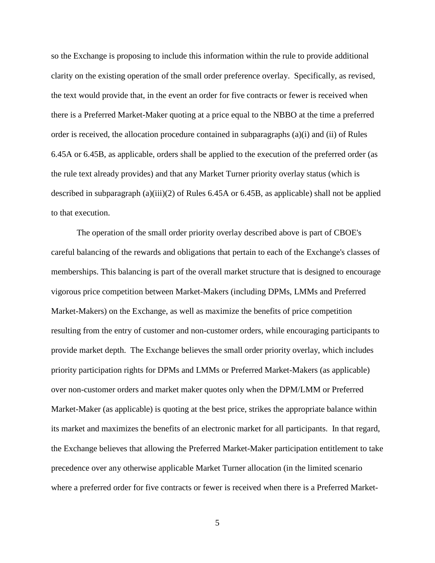so the Exchange is proposing to include this information within the rule to provide additional clarity on the existing operation of the small order preference overlay. Specifically, as revised, the text would provide that, in the event an order for five contracts or fewer is received when there is a Preferred Market-Maker quoting at a price equal to the NBBO at the time a preferred order is received, the allocation procedure contained in subparagraphs (a)(i) and (ii) of Rules 6.45A or 6.45B, as applicable, orders shall be applied to the execution of the preferred order (as the rule text already provides) and that any Market Turner priority overlay status (which is described in subparagraph (a)(iii)(2) of Rules 6.45A or 6.45B, as applicable) shall not be applied to that execution.

The operation of the small order priority overlay described above is part of CBOE's careful balancing of the rewards and obligations that pertain to each of the Exchange's classes of memberships. This balancing is part of the overall market structure that is designed to encourage vigorous price competition between Market-Makers (including DPMs, LMMs and Preferred Market-Makers) on the Exchange, as well as maximize the benefits of price competition resulting from the entry of customer and non-customer orders, while encouraging participants to provide market depth. The Exchange believes the small order priority overlay, which includes priority participation rights for DPMs and LMMs or Preferred Market-Makers (as applicable) over non-customer orders and market maker quotes only when the DPM/LMM or Preferred Market-Maker (as applicable) is quoting at the best price, strikes the appropriate balance within its market and maximizes the benefits of an electronic market for all participants. In that regard, the Exchange believes that allowing the Preferred Market-Maker participation entitlement to take precedence over any otherwise applicable Market Turner allocation (in the limited scenario where a preferred order for five contracts or fewer is received when there is a Preferred Market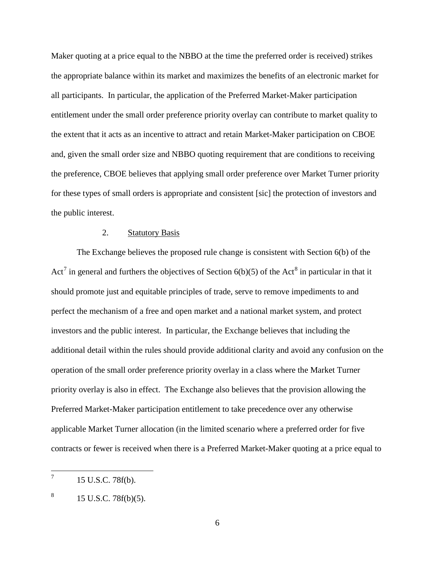Maker quoting at a price equal to the NBBO at the time the preferred order is received) strikes the appropriate balance within its market and maximizes the benefits of an electronic market for all participants. In particular, the application of the Preferred Market-Maker participation entitlement under the small order preference priority overlay can contribute to market quality to the extent that it acts as an incentive to attract and retain Market-Maker participation on CBOE and, given the small order size and NBBO quoting requirement that are conditions to receiving the preference, CBOE believes that applying small order preference over Market Turner priority for these types of small orders is appropriate and consistent [sic] the protection of investors and the public interest.

## 2. Statutory Basis

The Exchange believes the proposed rule change is consistent with Section 6(b) of the Act<sup>[7](#page-5-0)</sup> in general and furthers the objectives of Section  $6(b)(5)$  of the Act<sup>[8](#page-5-1)</sup> in particular in that it should promote just and equitable principles of trade, serve to remove impediments to and perfect the mechanism of a free and open market and a national market system, and protect investors and the public interest. In particular, the Exchange believes that including the additional detail within the rules should provide additional clarity and avoid any confusion on the operation of the small order preference priority overlay in a class where the Market Turner priority overlay is also in effect. The Exchange also believes that the provision allowing the Preferred Market-Maker participation entitlement to take precedence over any otherwise applicable Market Turner allocation (in the limited scenario where a preferred order for five contracts or fewer is received when there is a Preferred Market-Maker quoting at a price equal to

<span id="page-5-0"></span><sup>15</sup> U.S.C. 78f(b).

<span id="page-5-1"></span> $8 \t15$  U.S.C. 78f(b)(5).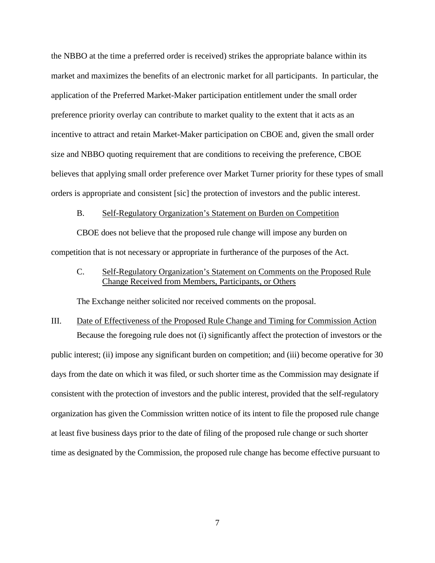the NBBO at the time a preferred order is received) strikes the appropriate balance within its market and maximizes the benefits of an electronic market for all participants. In particular, the application of the Preferred Market-Maker participation entitlement under the small order preference priority overlay can contribute to market quality to the extent that it acts as an incentive to attract and retain Market-Maker participation on CBOE and, given the small order size and NBBO quoting requirement that are conditions to receiving the preference, CBOE believes that applying small order preference over Market Turner priority for these types of small orders is appropriate and consistent [sic] the protection of investors and the public interest.

#### B. Self-Regulatory Organization's Statement on Burden on Competition

CBOE does not believe that the proposed rule change will impose any burden on competition that is not necessary or appropriate in furtherance of the purposes of the Act.

C. Self-Regulatory Organization's Statement on Comments on the Proposed Rule Change Received from Members, Participants, or Others

The Exchange neither solicited nor received comments on the proposal.

# III. Date of Effectiveness of the Proposed Rule Change and Timing for Commission Action Because the foregoing rule does not (i) significantly affect the protection of investors or the public interest; (ii) impose any significant burden on competition; and (iii) become operative for 30 days from the date on which it was filed, or such shorter time as the Commission may designate if consistent with the protection of investors and the public interest, provided that the self-regulatory organization has given the Commission written notice of its intent to file the proposed rule change at least five business days prior to the date of filing of the proposed rule change or such shorter time as designated by the Commission, the proposed rule change has become effective pursuant to

7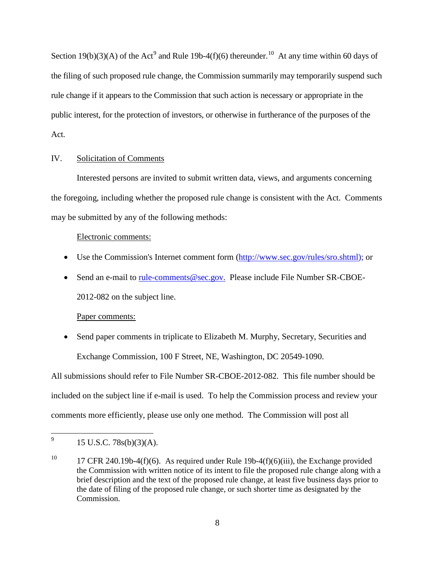Section 1[9](#page-7-0)(b)(3)(A) of the Act<sup>9</sup> and Rule 19b-4(f)(6) thereunder.<sup>10</sup> At any time within 60 days of the filing of such proposed rule change, the Commission summarily may temporarily suspend such rule change if it appears to the Commission that such action is necessary or appropriate in the public interest, for the protection of investors, or otherwise in furtherance of the purposes of the Act.

## IV. Solicitation of Comments

Interested persons are invited to submit written data, views, and arguments concerning the foregoing, including whether the proposed rule change is consistent with the Act. Comments may be submitted by any of the following methods:

## Electronic comments:

- Use the Commission's Internet comment form [\(http://www.sec.gov/rules/sro.shtml\)](http://www.sec.gov/rules/sro.shtml); or
- Send an e-mail to [rule-comments@sec.gov.](mailto:rule-comments@sec.gov) Please include File Number SR-CBOE-2012-082 on the subject line.

## Paper comments:

• Send paper comments in triplicate to Elizabeth M. Murphy, Secretary, Securities and Exchange Commission, 100 F Street, NE, Washington, DC 20549-1090.

All submissions should refer to File Number SR-CBOE-2012-082. This file number should be included on the subject line if e-mail is used. To help the Commission process and review your comments more efficiently, please use only one method. The Commission will post all

<span id="page-7-0"></span> <sup>9</sup> 15 U.S.C. 78s(b)(3)(A).

<span id="page-7-1"></span><sup>&</sup>lt;sup>10</sup> 17 CFR 240.19b-4(f)(6). As required under Rule 19b-4(f)(6)(iii), the Exchange provided the Commission with written notice of its intent to file the proposed rule change along with a brief description and the text of the proposed rule change, at least five business days prior to the date of filing of the proposed rule change, or such shorter time as designated by the Commission.